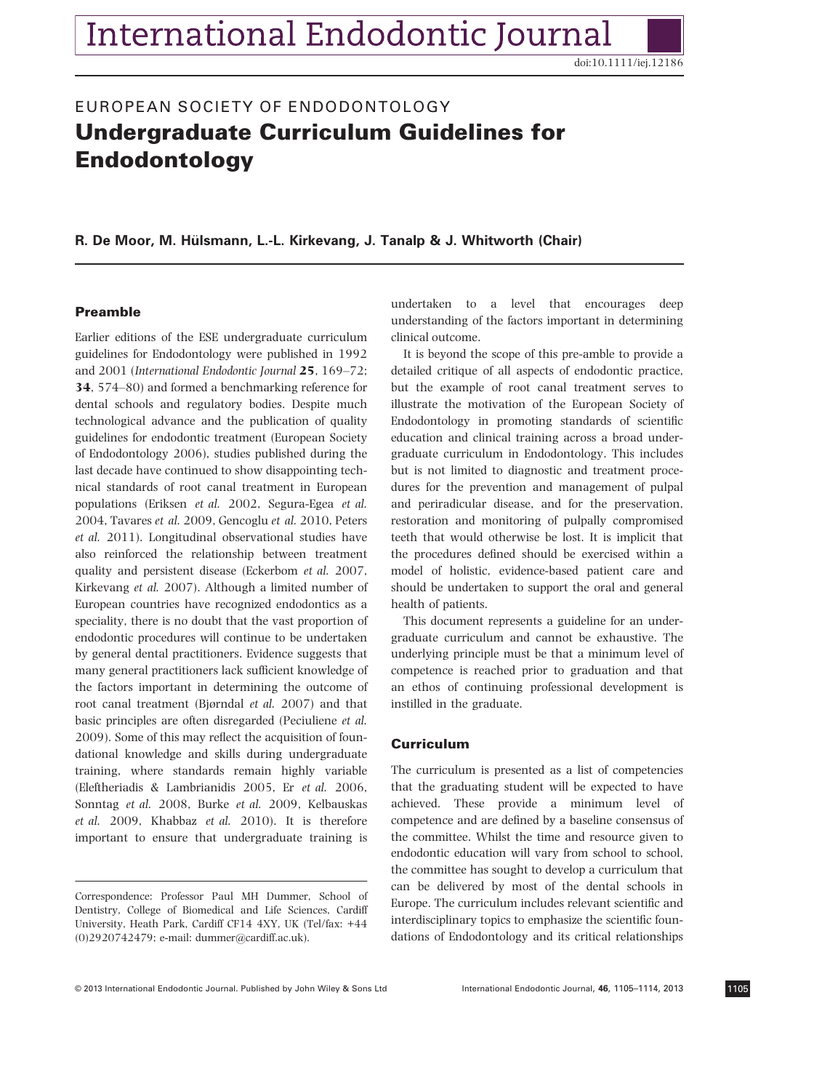# EUROPEAN SOCIETY OF ENDODONTOLOGY Undergraduate Curriculum Guidelines for Endodontology

R. De Moor, M. Hülsmann, L.-L. Kirkevang, J. Tanalp & J. Whitworth (Chair)

# Preamble

Earlier editions of the ESE undergraduate curriculum guidelines for Endodontology were published in 1992 and 2001 (International Endodontic Journal 25, 169–72; 34, 574–80) and formed a benchmarking reference for dental schools and regulatory bodies. Despite much technological advance and the publication of quality guidelines for endodontic treatment (European Society of Endodontology 2006), studies published during the last decade have continued to show disappointing technical standards of root canal treatment in European populations (Eriksen et al. 2002, Segura-Egea et al. 2004, Tavares et al. 2009, Gencoglu et al. 2010, Peters et al. 2011). Longitudinal observational studies have also reinforced the relationship between treatment quality and persistent disease (Eckerbom et al. 2007, Kirkevang et al. 2007). Although a limited number of European countries have recognized endodontics as a speciality, there is no doubt that the vast proportion of endodontic procedures will continue to be undertaken by general dental practitioners. Evidence suggests that many general practitioners lack sufficient knowledge of the factors important in determining the outcome of root canal treatment (Bjørndal et al. 2007) and that basic principles are often disregarded (Peciuliene et al. 2009). Some of this may reflect the acquisition of foundational knowledge and skills during undergraduate training, where standards remain highly variable (Eleftheriadis & Lambrianidis 2005, Er et al. 2006, Sonntag et al. 2008, Burke et al. 2009, Kelbauskas et al. 2009, Khabbaz et al. 2010). It is therefore important to ensure that undergraduate training is undertaken to a level that encourages deep understanding of the factors important in determining clinical outcome.

It is beyond the scope of this pre-amble to provide a detailed critique of all aspects of endodontic practice, but the example of root canal treatment serves to illustrate the motivation of the European Society of Endodontology in promoting standards of scientific education and clinical training across a broad undergraduate curriculum in Endodontology. This includes but is not limited to diagnostic and treatment procedures for the prevention and management of pulpal and periradicular disease, and for the preservation, restoration and monitoring of pulpally compromised teeth that would otherwise be lost. It is implicit that the procedures defined should be exercised within a model of holistic, evidence-based patient care and should be undertaken to support the oral and general health of patients.

This document represents a guideline for an undergraduate curriculum and cannot be exhaustive. The underlying principle must be that a minimum level of competence is reached prior to graduation and that an ethos of continuing professional development is instilled in the graduate.

# Curriculum

The curriculum is presented as a list of competencies that the graduating student will be expected to have achieved. These provide a minimum level of competence and are defined by a baseline consensus of the committee. Whilst the time and resource given to endodontic education will vary from school to school, the committee has sought to develop a curriculum that can be delivered by most of the dental schools in Europe. The curriculum includes relevant scientific and interdisciplinary topics to emphasize the scientific foundations of Endodontology and its critical relationships

Correspondence: Professor Paul MH Dummer, School of Dentistry, College of Biomedical and Life Sciences, Cardiff University, Heath Park, Cardiff CF14 4XY, UK (Tel/fax: +44 (0)2920742479; e-mail: dummer@cardiff.ac.uk).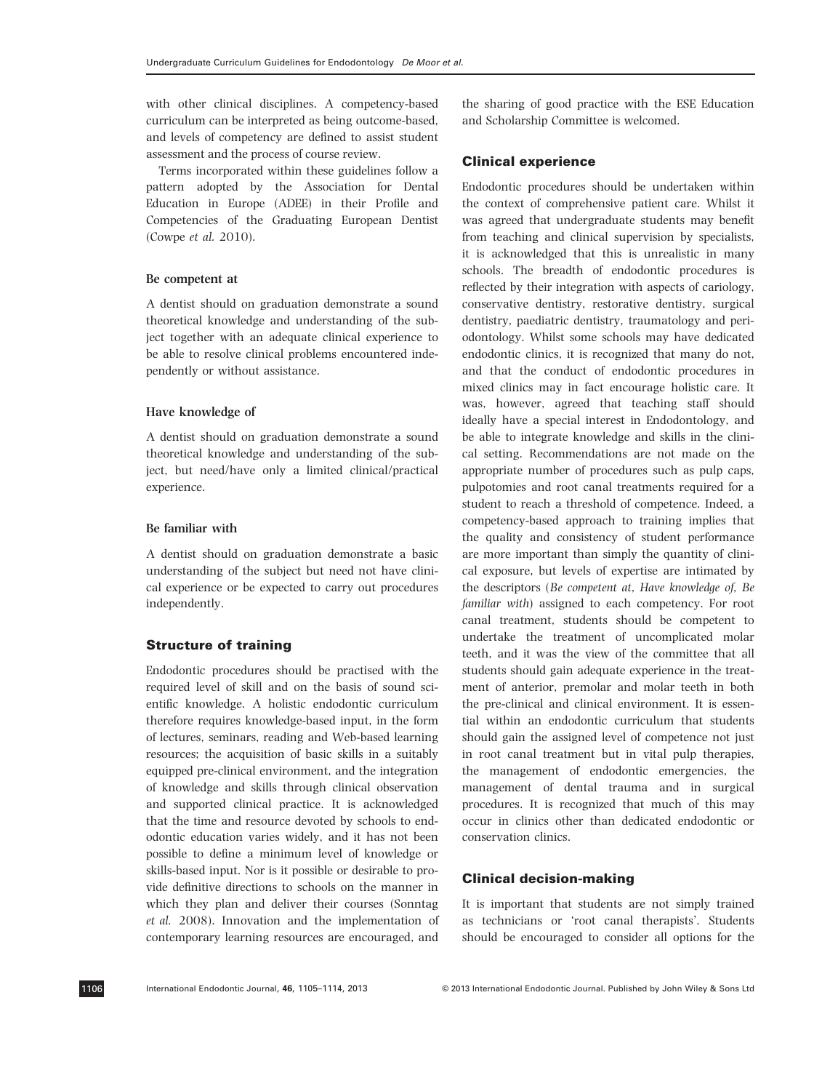with other clinical disciplines. A competency-based curriculum can be interpreted as being outcome-based, and levels of competency are defined to assist student assessment and the process of course review.

Terms incorporated within these guidelines follow a pattern adopted by the Association for Dental Education in Europe (ADEE) in their Profile and Competencies of the Graduating European Dentist (Cowpe et al. 2010).

#### Be competent at

A dentist should on graduation demonstrate a sound theoretical knowledge and understanding of the subject together with an adequate clinical experience to be able to resolve clinical problems encountered independently or without assistance.

### Have knowledge of

A dentist should on graduation demonstrate a sound theoretical knowledge and understanding of the subject, but need/have only a limited clinical/practical experience.

# Be familiar with

A dentist should on graduation demonstrate a basic understanding of the subject but need not have clinical experience or be expected to carry out procedures independently.

#### Structure of training

Endodontic procedures should be practised with the required level of skill and on the basis of sound scientific knowledge. A holistic endodontic curriculum therefore requires knowledge-based input, in the form of lectures, seminars, reading and Web-based learning resources; the acquisition of basic skills in a suitably equipped pre-clinical environment, and the integration of knowledge and skills through clinical observation and supported clinical practice. It is acknowledged that the time and resource devoted by schools to endodontic education varies widely, and it has not been possible to define a minimum level of knowledge or skills-based input. Nor is it possible or desirable to provide definitive directions to schools on the manner in which they plan and deliver their courses (Sonntag et al. 2008). Innovation and the implementation of contemporary learning resources are encouraged, and the sharing of good practice with the ESE Education and Scholarship Committee is welcomed.

# Clinical experience

Endodontic procedures should be undertaken within the context of comprehensive patient care. Whilst it was agreed that undergraduate students may benefit from teaching and clinical supervision by specialists, it is acknowledged that this is unrealistic in many schools. The breadth of endodontic procedures is reflected by their integration with aspects of cariology, conservative dentistry, restorative dentistry, surgical dentistry, paediatric dentistry, traumatology and periodontology. Whilst some schools may have dedicated endodontic clinics, it is recognized that many do not, and that the conduct of endodontic procedures in mixed clinics may in fact encourage holistic care. It was, however, agreed that teaching staff should ideally have a special interest in Endodontology, and be able to integrate knowledge and skills in the clinical setting. Recommendations are not made on the appropriate number of procedures such as pulp caps, pulpotomies and root canal treatments required for a student to reach a threshold of competence. Indeed, a competency-based approach to training implies that the quality and consistency of student performance are more important than simply the quantity of clinical exposure, but levels of expertise are intimated by the descriptors (Be competent at, Have knowledge of, Be familiar with) assigned to each competency. For root canal treatment, students should be competent to undertake the treatment of uncomplicated molar teeth, and it was the view of the committee that all students should gain adequate experience in the treatment of anterior, premolar and molar teeth in both the pre-clinical and clinical environment. It is essential within an endodontic curriculum that students should gain the assigned level of competence not just in root canal treatment but in vital pulp therapies, the management of endodontic emergencies, the management of dental trauma and in surgical procedures. It is recognized that much of this may occur in clinics other than dedicated endodontic or conservation clinics.

#### Clinical decision-making

It is important that students are not simply trained as technicians or 'root canal therapists'. Students should be encouraged to consider all options for the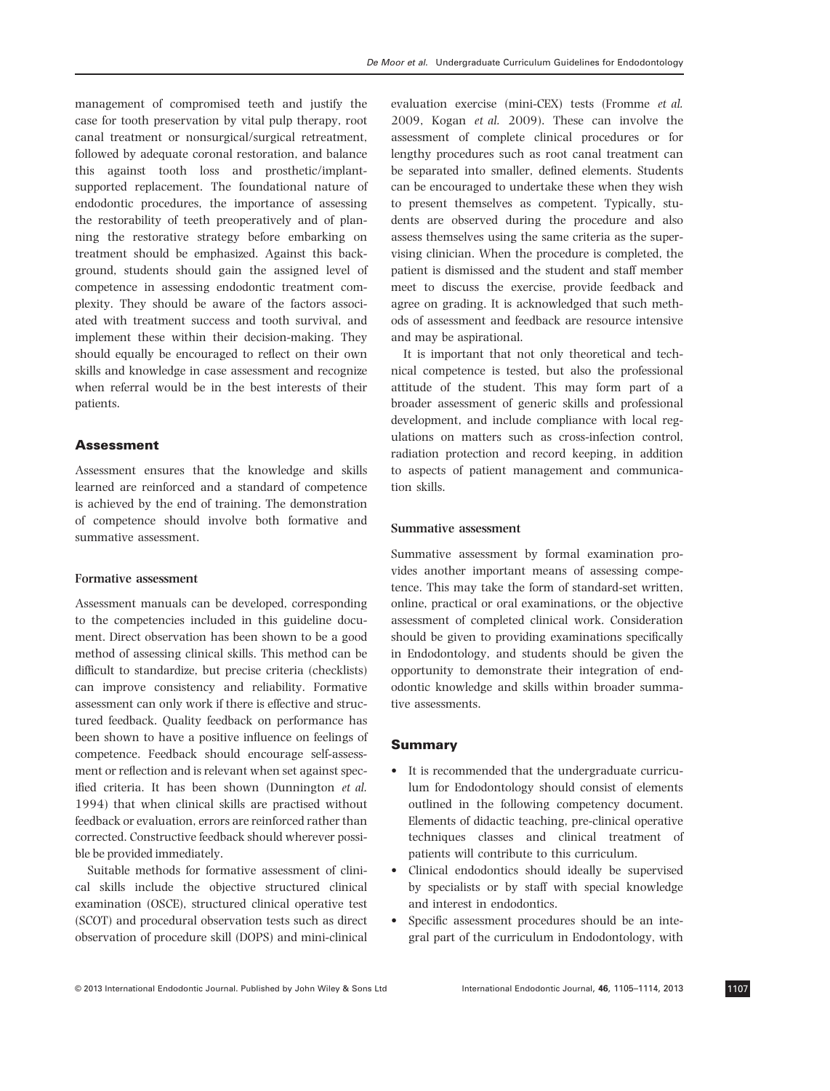management of compromised teeth and justify the case for tooth preservation by vital pulp therapy, root canal treatment or nonsurgical/surgical retreatment, followed by adequate coronal restoration, and balance this against tooth loss and prosthetic/implantsupported replacement. The foundational nature of endodontic procedures, the importance of assessing the restorability of teeth preoperatively and of planning the restorative strategy before embarking on treatment should be emphasized. Against this background, students should gain the assigned level of competence in assessing endodontic treatment complexity. They should be aware of the factors associated with treatment success and tooth survival, and implement these within their decision-making. They should equally be encouraged to reflect on their own skills and knowledge in case assessment and recognize when referral would be in the best interests of their patients.

### **A**ccacemant

Assessment ensures that the knowledge and skills learned are reinforced and a standard of competence is achieved by the end of training. The demonstration of competence should involve both formative and summative assessment.

# Formative assessment

Assessment manuals can be developed, corresponding to the competencies included in this guideline document. Direct observation has been shown to be a good method of assessing clinical skills. This method can be difficult to standardize, but precise criteria (checklists) can improve consistency and reliability. Formative assessment can only work if there is effective and structured feedback. Quality feedback on performance has been shown to have a positive influence on feelings of competence. Feedback should encourage self-assessment or reflection and is relevant when set against specified criteria. It has been shown (Dunnington et al. 1994) that when clinical skills are practised without feedback or evaluation, errors are reinforced rather than corrected. Constructive feedback should wherever possible be provided immediately.

Suitable methods for formative assessment of clinical skills include the objective structured clinical examination (OSCE), structured clinical operative test (SCOT) and procedural observation tests such as direct observation of procedure skill (DOPS) and mini-clinical evaluation exercise (mini-CEX) tests (Fromme et al. 2009, Kogan et al. 2009). These can involve the assessment of complete clinical procedures or for lengthy procedures such as root canal treatment can be separated into smaller, defined elements. Students can be encouraged to undertake these when they wish to present themselves as competent. Typically, students are observed during the procedure and also assess themselves using the same criteria as the supervising clinician. When the procedure is completed, the patient is dismissed and the student and staff member meet to discuss the exercise, provide feedback and agree on grading. It is acknowledged that such methods of assessment and feedback are resource intensive and may be aspirational.

It is important that not only theoretical and technical competence is tested, but also the professional attitude of the student. This may form part of a broader assessment of generic skills and professional development, and include compliance with local regulations on matters such as cross-infection control, radiation protection and record keeping, in addition to aspects of patient management and communication skills.

#### Summative assessment

Summative assessment by formal examination provides another important means of assessing competence. This may take the form of standard-set written, online, practical or oral examinations, or the objective assessment of completed clinical work. Consideration should be given to providing examinations specifically in Endodontology, and students should be given the opportunity to demonstrate their integration of endodontic knowledge and skills within broader summative assessments.

#### Summary

- It is recommended that the undergraduate curriculum for Endodontology should consist of elements outlined in the following competency document. Elements of didactic teaching, pre-clinical operative techniques classes and clinical treatment of patients will contribute to this curriculum.
- Clinical endodontics should ideally be supervised by specialists or by staff with special knowledge and interest in endodontics.
- Specific assessment procedures should be an integral part of the curriculum in Endodontology, with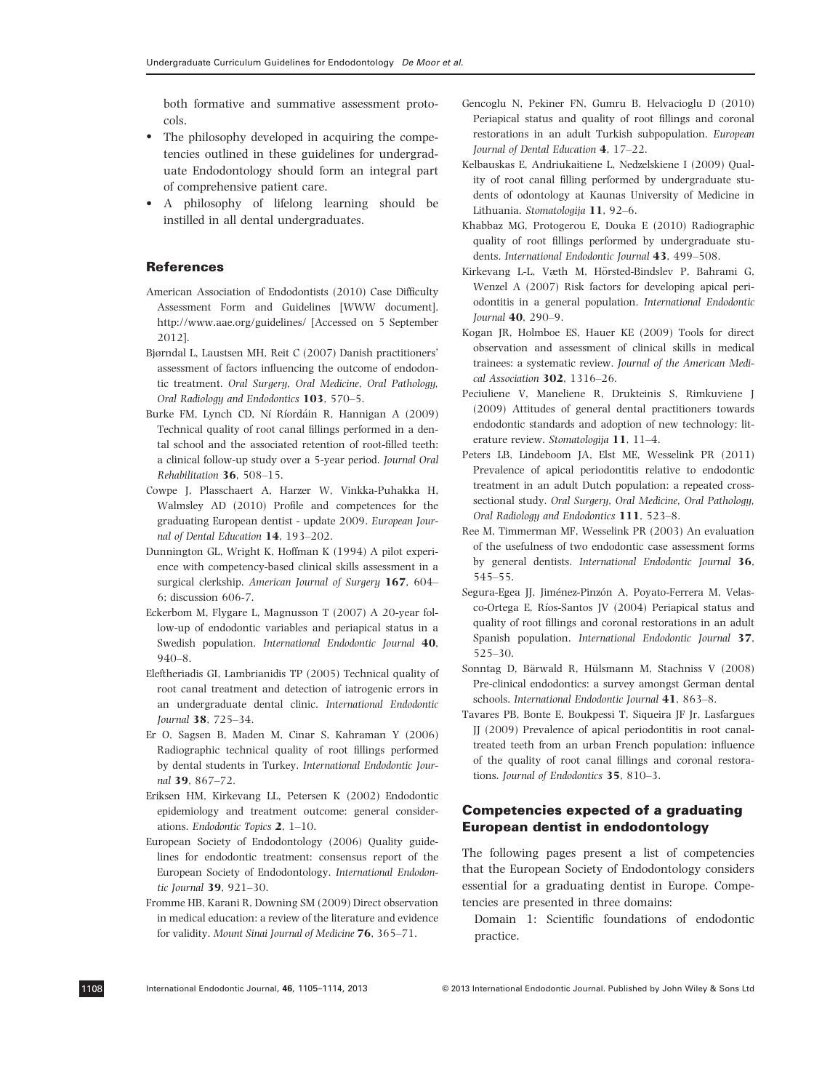both formative and summative assessment protocols.

- The philosophy developed in acquiring the competencies outlined in these guidelines for undergraduate Endodontology should form an integral part of comprehensive patient care.
- A philosophy of lifelong learning should be instilled in all dental undergraduates.

# References

- American Association of Endodontists (2010) Case Difficulty Assessment Form and Guidelines [WWW document]. http://www.aae.org/guidelines/ [Accessed on 5 September 2012].
- Bjørndal L, Laustsen MH, Reit C (2007) Danish practitioners' assessment of factors influencing the outcome of endodontic treatment. Oral Surgery, Oral Medicine, Oral Pathology, Oral Radiology and Endodontics 103, 570–5.
- Burke FM, Lynch CD, Ní Ríordáin R, Hannigan A (2009) Technical quality of root canal fillings performed in a dental school and the associated retention of root-filled teeth: a clinical follow-up study over a 5-year period. Journal Oral Rehabilitation 36, 508–15.
- Cowpe J, Plasschaert A, Harzer W, Vinkka-Puhakka H, Walmsley AD (2010) Profile and competences for the graduating European dentist - update 2009. European Journal of Dental Education 14, 193–202.
- Dunnington GL, Wright K, Hoffman K (1994) A pilot experience with competency-based clinical skills assessment in a surgical clerkship. American Journal of Surgery 167, 604– 6; discussion 606-7.
- Eckerbom M, Flygare L, Magnusson T (2007) A 20-year follow-up of endodontic variables and periapical status in a Swedish population. International Endodontic Journal 40, 940–8.
- Eleftheriadis GI, Lambrianidis TP (2005) Technical quality of root canal treatment and detection of iatrogenic errors in an undergraduate dental clinic. International Endodontic Journal 38, 725–34.
- Er O, Sagsen B, Maden M, Cinar S, Kahraman Y (2006) Radiographic technical quality of root fillings performed by dental students in Turkey. International Endodontic Journal 39, 867–72.
- Eriksen HM, Kirkevang LL, Petersen K (2002) Endodontic epidemiology and treatment outcome: general considerations. Endodontic Topics 2, 1–10.
- European Society of Endodontology (2006) Quality guidelines for endodontic treatment: consensus report of the European Society of Endodontology. International Endodontic Journal 39, 921–30.
- Fromme HB, Karani R, Downing SM (2009) Direct observation in medical education: a review of the literature and evidence for validity. Mount Sinai Journal of Medicine 76, 365–71.
- Gencoglu N, Pekiner FN, Gumru B, Helvacioglu D (2010) Periapical status and quality of root fillings and coronal restorations in an adult Turkish subpopulation. European Journal of Dental Education 4, 17–22.
- Kelbauskas E, Andriukaitiene L, Nedzelskiene I (2009) Quality of root canal filling performed by undergraduate students of odontology at Kaunas University of Medicine in Lithuania. Stomatologija 11, 92–6.
- Khabbaz MG, Protogerou E, Douka E (2010) Radiographic quality of root fillings performed by undergraduate students. International Endodontic Journal 43, 499–508.
- Kirkevang L-L, Væth M, Hörsted-Bindslev P, Bahrami G, Wenzel A (2007) Risk factors for developing apical periodontitis in a general population. International Endodontic Journal 40, 290–9.
- Kogan JR, Holmboe ES, Hauer KE (2009) Tools for direct observation and assessment of clinical skills in medical trainees: a systematic review. Journal of the American Medical Association 302, 1316–26.
- Peciuliene V, Maneliene R, Drukteinis S, Rimkuviene J (2009) Attitudes of general dental practitioners towards endodontic standards and adoption of new technology: literature review. Stomatologija 11, 11–4.
- Peters LB, Lindeboom JA, Elst ME, Wesselink PR (2011) Prevalence of apical periodontitis relative to endodontic treatment in an adult Dutch population: a repeated crosssectional study. Oral Surgery, Oral Medicine, Oral Pathology, Oral Radiology and Endodontics 111, 523–8.
- Ree M, Timmerman MF, Wesselink PR (2003) An evaluation of the usefulness of two endodontic case assessment forms by general dentists. International Endodontic Journal 36, 545–55.
- Segura-Egea JJ, Jiménez-Pinzón A, Poyato-Ferrera M, Velasco-Ortega E, Ríos-Santos JV (2004) Periapical status and quality of root fillings and coronal restorations in an adult Spanish population. International Endodontic Journal 37, 525–30.
- Sonntag D, Bärwald R, Hülsmann M, Stachniss V (2008) Pre-clinical endodontics: a survey amongst German dental schools. International Endodontic Journal 41, 863–8.
- Tavares PB, Bonte E, Boukpessi T, Siqueira JF Jr, Lasfargues JJ (2009) Prevalence of apical periodontitis in root canaltreated teeth from an urban French population: influence of the quality of root canal fillings and coronal restorations. Journal of Endodontics 35, 810–3.

# Competencies expected of a graduating European dentist in endodontology

The following pages present a list of competencies that the European Society of Endodontology considers essential for a graduating dentist in Europe. Competencies are presented in three domains:

Domain 1: Scientific foundations of endodontic practice.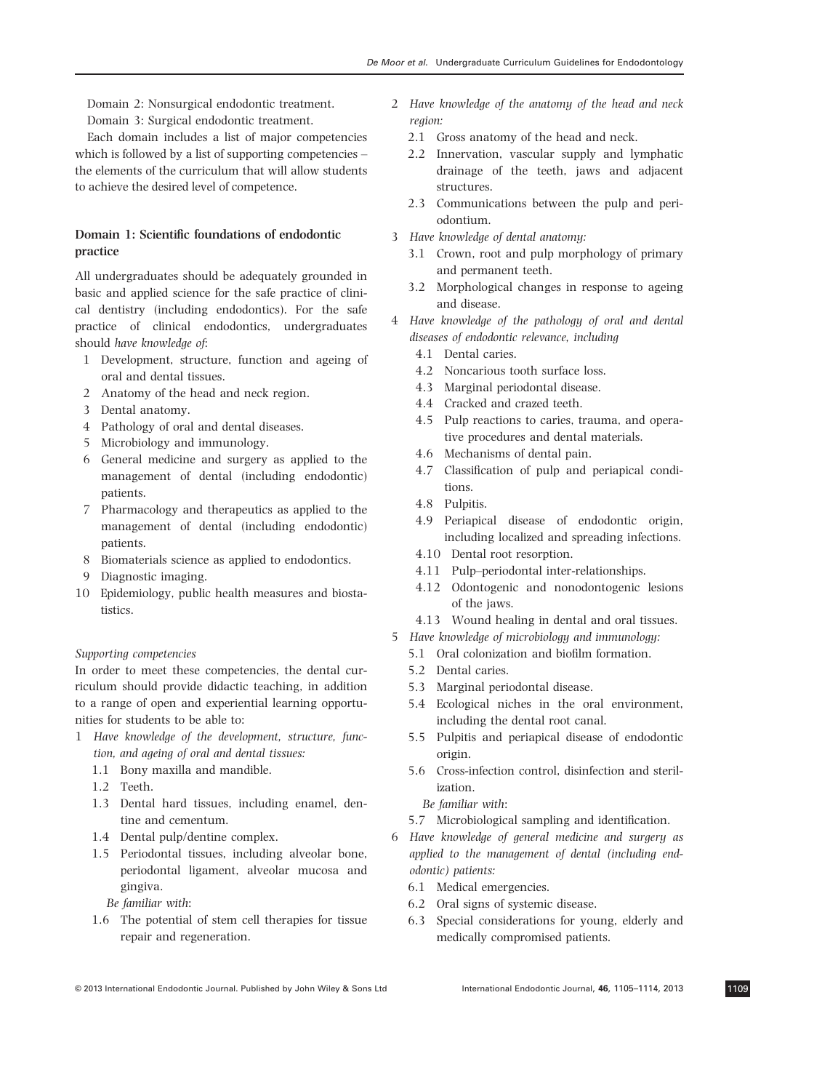Domain 2: Nonsurgical endodontic treatment. Domain 3: Surgical endodontic treatment.

Each domain includes a list of major competencies which is followed by a list of supporting competencies – the elements of the curriculum that will allow students to achieve the desired level of competence.

# Domain 1: Scientific foundations of endodontic practice

All undergraduates should be adequately grounded in basic and applied science for the safe practice of clinical dentistry (including endodontics). For the safe practice of clinical endodontics, undergraduates should have knowledge of:

- 1 Development, structure, function and ageing of oral and dental tissues.
- 2 Anatomy of the head and neck region.
- 3 Dental anatomy.
- 4 Pathology of oral and dental diseases.
- 5 Microbiology and immunology.
- 6 General medicine and surgery as applied to the management of dental (including endodontic) patients.
- 7 Pharmacology and therapeutics as applied to the management of dental (including endodontic) patients.
- 8 Biomaterials science as applied to endodontics.
- 9 Diagnostic imaging.
- 10 Epidemiology, public health measures and biostatistics.

#### Supporting competencies

In order to meet these competencies, the dental curriculum should provide didactic teaching, in addition to a range of open and experiential learning opportunities for students to be able to:

- 1 Have knowledge of the development, structure, function, and ageing of oral and dental tissues:
	- 1.1 Bony maxilla and mandible.
	- 1.2 Teeth.
	- 1.3 Dental hard tissues, including enamel, dentine and cementum.
	- 1.4 Dental pulp/dentine complex.
	- 1.5 Periodontal tissues, including alveolar bone, periodontal ligament, alveolar mucosa and gingiva.
		- Be familiar with:
	- 1.6 The potential of stem cell therapies for tissue repair and regeneration.
- 2 Have knowledge of the anatomy of the head and neck region:
	- 2.1 Gross anatomy of the head and neck.
	- 2.2 Innervation, vascular supply and lymphatic drainage of the teeth, jaws and adjacent structures.
	- 2.3 Communications between the pulp and periodontium.
- 3 Have knowledge of dental anatomy:
	- 3.1 Crown, root and pulp morphology of primary and permanent teeth.
	- 3.2 Morphological changes in response to ageing and disease.
- 4 Have knowledge of the pathology of oral and dental diseases of endodontic relevance, including
	- 4.1 Dental caries.
	- 4.2 Noncarious tooth surface loss.
	- 4.3 Marginal periodontal disease.
	- 4.4 Cracked and crazed teeth.
	- 4.5 Pulp reactions to caries, trauma, and operative procedures and dental materials.
	- 4.6 Mechanisms of dental pain.
	- 4.7 Classification of pulp and periapical conditions.
	- 4.8 Pulpitis.
	- 4.9 Periapical disease of endodontic origin, including localized and spreading infections.
	- 4.10 Dental root resorption.
	- 4.11 Pulp–periodontal inter-relationships.
	- 4.12 Odontogenic and nonodontogenic lesions of the jaws.
	- 4.13 Wound healing in dental and oral tissues.
- 5 Have knowledge of microbiology and immunology:
	- 5.1 Oral colonization and biofilm formation.
	- 5.2 Dental caries.
	- 5.3 Marginal periodontal disease.
	- 5.4 Ecological niches in the oral environment, including the dental root canal.
	- 5.5 Pulpitis and periapical disease of endodontic origin.
	- 5.6 Cross-infection control, disinfection and sterilization.
		- Be familiar with:
	- 5.7 Microbiological sampling and identification.
- 6 Have knowledge of general medicine and surgery as applied to the management of dental (including endodontic) patients:
	- 6.1 Medical emergencies.
	- 6.2 Oral signs of systemic disease.
	- 6.3 Special considerations for young, elderly and medically compromised patients.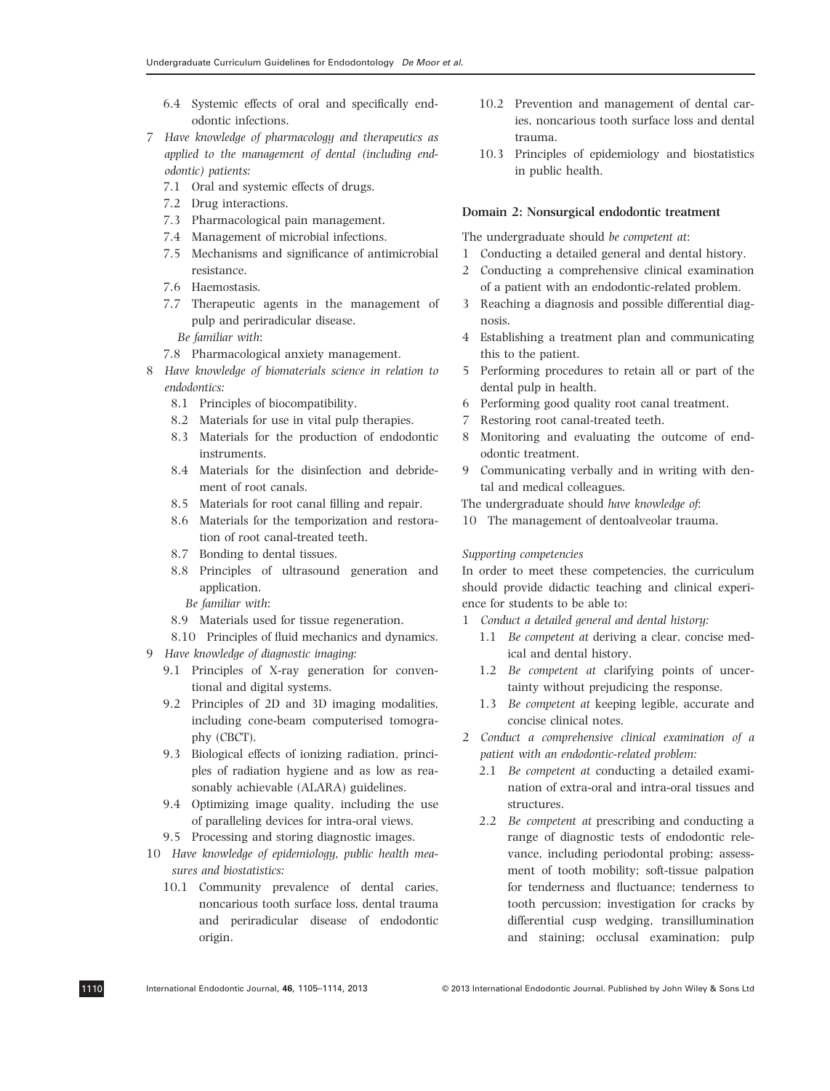- 6.4 Systemic effects of oral and specifically endodontic infections.
- 7 Have knowledge of pharmacology and therapeutics as applied to the management of dental (including endodontic) patients:
	- 7.1 Oral and systemic effects of drugs.
	- 7.2 Drug interactions.
	- 7.3 Pharmacological pain management.
	- 7.4 Management of microbial infections.
	- 7.5 Mechanisms and significance of antimicrobial resistance.
	- 7.6 Haemostasis.
	- 7.7 Therapeutic agents in the management of pulp and periradicular disease.

Be familiar with:

- 7.8 Pharmacological anxiety management.
- 8 Have knowledge of biomaterials science in relation to endodontics:
	- 8.1 Principles of biocompatibility.
	- 8.2 Materials for use in vital pulp therapies.
	- 8.3 Materials for the production of endodontic instruments.
	- 8.4 Materials for the disinfection and debridement of root canals.
	- 8.5 Materials for root canal filling and repair.
	- 8.6 Materials for the temporization and restoration of root canal-treated teeth.
	- 8.7 Bonding to dental tissues.
	- 8.8 Principles of ultrasound generation and application.

Be familiar with:

- 8.9 Materials used for tissue regeneration.
- 8.10 Principles of fluid mechanics and dynamics.
- 9 Have knowledge of diagnostic imaging:
	- 9.1 Principles of X-ray generation for conventional and digital systems.
	- 9.2 Principles of 2D and 3D imaging modalities, including cone-beam computerised tomography (CBCT).
	- 9.3 Biological effects of ionizing radiation, principles of radiation hygiene and as low as reasonably achievable (ALARA) guidelines.
	- 9.4 Optimizing image quality, including the use of paralleling devices for intra-oral views.
	- 9.5 Processing and storing diagnostic images.
- 10 Have knowledge of epidemiology, public health measures and biostatistics:
	- 10.1 Community prevalence of dental caries, noncarious tooth surface loss, dental trauma and periradicular disease of endodontic origin.
- 10.2 Prevention and management of dental caries, noncarious tooth surface loss and dental trauma.
- 10.3 Principles of epidemiology and biostatistics in public health.

# Domain 2: Nonsurgical endodontic treatment

The undergraduate should be competent at:

- 1 Conducting a detailed general and dental history.
- 2 Conducting a comprehensive clinical examination of a patient with an endodontic-related problem.
- 3 Reaching a diagnosis and possible differential diagnosis.
- 4 Establishing a treatment plan and communicating this to the patient.
- 5 Performing procedures to retain all or part of the dental pulp in health.
- 6 Performing good quality root canal treatment.
- 7 Restoring root canal-treated teeth.
- 8 Monitoring and evaluating the outcome of endodontic treatment.
- 9 Communicating verbally and in writing with dental and medical colleagues.

The undergraduate should have knowledge of:

10 The management of dentoalveolar trauma.

# Supporting competencies

In order to meet these competencies, the curriculum should provide didactic teaching and clinical experience for students to be able to:

- 1 Conduct a detailed general and dental history:
	- 1.1 Be competent at deriving a clear, concise medical and dental history.
	- 1.2 Be competent at clarifying points of uncertainty without prejudicing the response.
	- 1.3 Be competent at keeping legible, accurate and concise clinical notes.
- 2 Conduct a comprehensive clinical examination of a patient with an endodontic-related problem:
	- 2.1 Be competent at conducting a detailed examination of extra-oral and intra-oral tissues and structures.
	- 2.2 Be competent at prescribing and conducting a range of diagnostic tests of endodontic relevance, including periodontal probing; assessment of tooth mobility; soft-tissue palpation for tenderness and fluctuance; tenderness to tooth percussion; investigation for cracks by differential cusp wedging, transillumination and staining; occlusal examination; pulp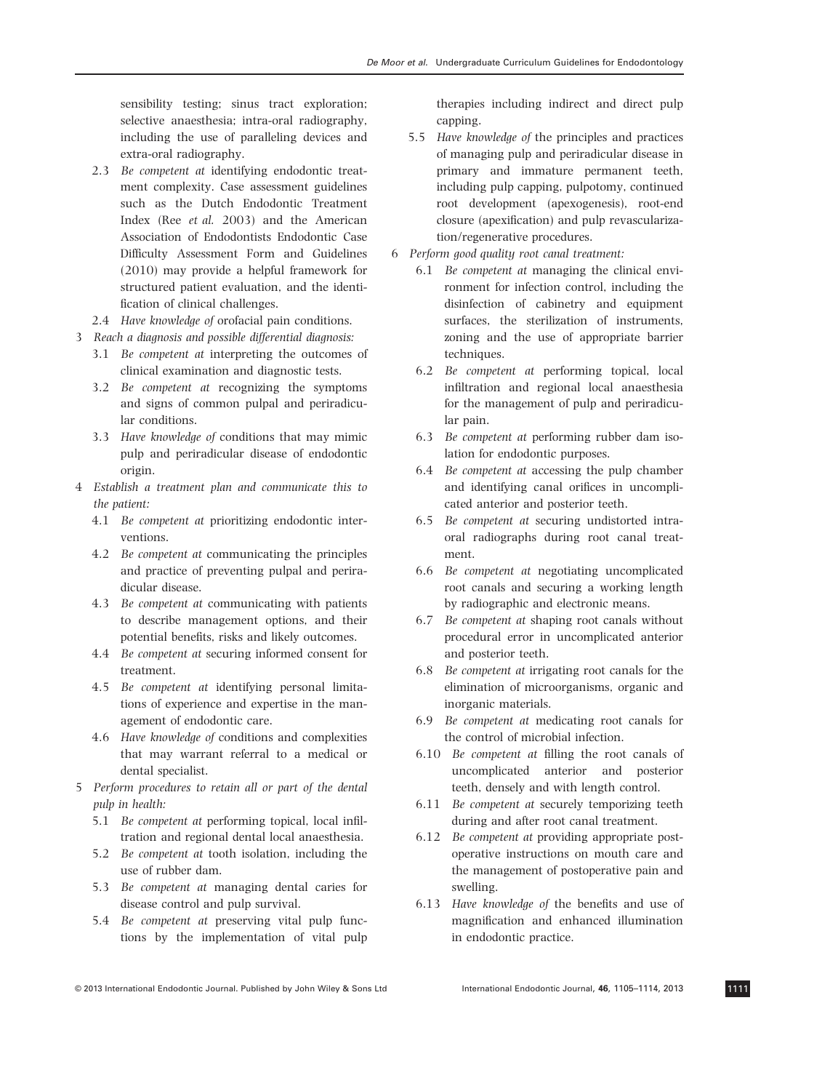sensibility testing; sinus tract exploration; selective anaesthesia; intra-oral radiography, including the use of paralleling devices and extra-oral radiography.

- 2.3 Be competent at identifying endodontic treatment complexity. Case assessment guidelines such as the Dutch Endodontic Treatment Index (Ree et al. 2003) and the American Association of Endodontists Endodontic Case Difficulty Assessment Form and Guidelines (2010) may provide a helpful framework for structured patient evaluation, and the identification of clinical challenges.
- 2.4 Have knowledge of orofacial pain conditions.
- 3 Reach a diagnosis and possible differential diagnosis:
	- 3.1 Be competent at interpreting the outcomes of clinical examination and diagnostic tests.
	- 3.2 Be competent at recognizing the symptoms and signs of common pulpal and periradicular conditions.
	- 3.3 Have knowledge of conditions that may mimic pulp and periradicular disease of endodontic origin.
- 4 Establish a treatment plan and communicate this to the patient:
	- 4.1 Be competent at prioritizing endodontic interventions.
	- 4.2 Be competent at communicating the principles and practice of preventing pulpal and periradicular disease.
	- 4.3 Be competent at communicating with patients to describe management options, and their potential benefits, risks and likely outcomes.
	- 4.4 Be competent at securing informed consent for treatment.
	- 4.5 Be competent at identifying personal limitations of experience and expertise in the management of endodontic care.
	- 4.6 Have knowledge of conditions and complexities that may warrant referral to a medical or dental specialist.
- 5 Perform procedures to retain all or part of the dental pulp in health:
	- 5.1 Be competent at performing topical, local infiltration and regional dental local anaesthesia.
	- 5.2 Be competent at tooth isolation, including the use of rubber dam.
	- 5.3 Be competent at managing dental caries for disease control and pulp survival.
	- 5.4 Be competent at preserving vital pulp functions by the implementation of vital pulp

therapies including indirect and direct pulp capping.

- 5.5 Have knowledge of the principles and practices of managing pulp and periradicular disease in primary and immature permanent teeth, including pulp capping, pulpotomy, continued root development (apexogenesis), root-end closure (apexification) and pulp revascularization/regenerative procedures.
- 6 Perform good quality root canal treatment:
	- 6.1 Be competent at managing the clinical environment for infection control, including the disinfection of cabinetry and equipment surfaces, the sterilization of instruments, zoning and the use of appropriate barrier techniques.
	- 6.2 Be competent at performing topical, local infiltration and regional local anaesthesia for the management of pulp and periradicular pain.
	- 6.3 Be competent at performing rubber dam isolation for endodontic purposes.
	- 6.4 Be competent at accessing the pulp chamber and identifying canal orifices in uncomplicated anterior and posterior teeth.
	- 6.5 Be competent at securing undistorted intraoral radiographs during root canal treatment.
	- 6.6 Be competent at negotiating uncomplicated root canals and securing a working length by radiographic and electronic means.
	- 6.7 Be competent at shaping root canals without procedural error in uncomplicated anterior and posterior teeth.
	- 6.8 Be competent at irrigating root canals for the elimination of microorganisms, organic and inorganic materials.
	- 6.9 Be competent at medicating root canals for the control of microbial infection.
	- 6.10 Be competent at filling the root canals of uncomplicated anterior and posterior teeth, densely and with length control.
	- 6.11 Be competent at securely temporizing teeth during and after root canal treatment.
	- 6.12 Be competent at providing appropriate postoperative instructions on mouth care and the management of postoperative pain and swelling.
	- 6.13 Have knowledge of the benefits and use of magnification and enhanced illumination in endodontic practice.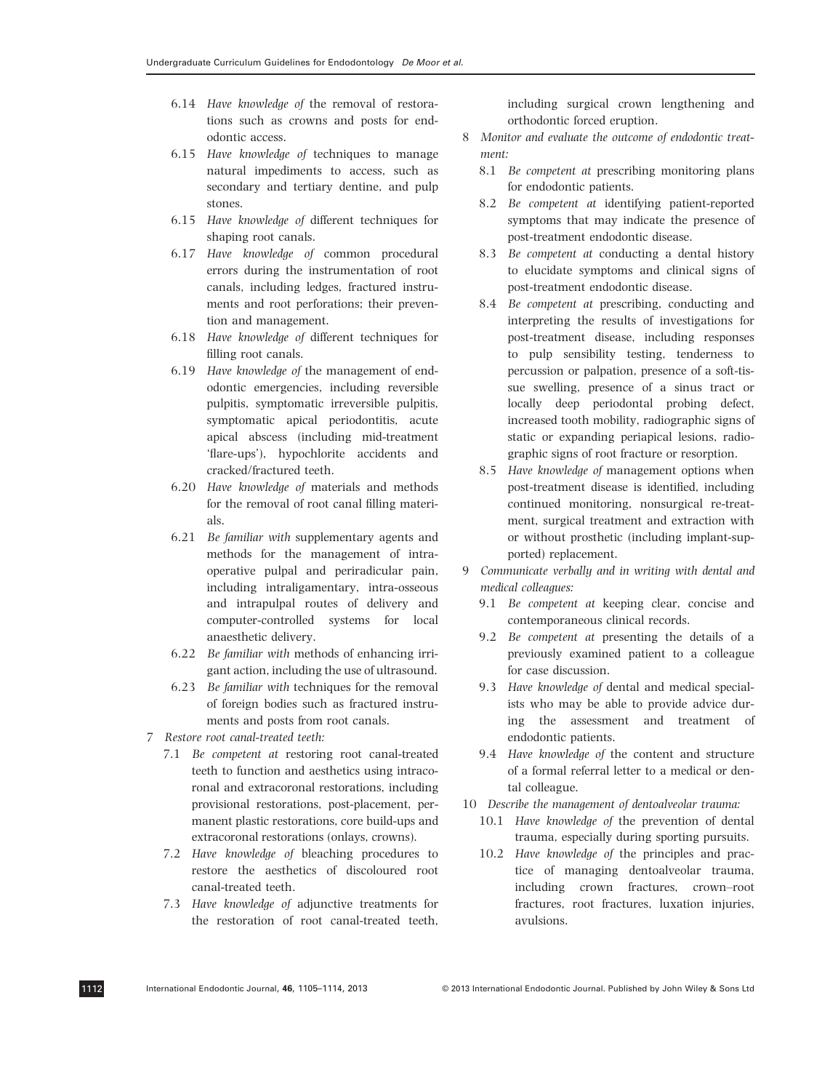- 6.14 Have knowledge of the removal of restorations such as crowns and posts for endodontic access.
- 6.15 Have knowledge of techniques to manage natural impediments to access, such as secondary and tertiary dentine, and pulp stones.
- 6.15 Have knowledge of different techniques for shaping root canals.
- 6.17 Have knowledge of common procedural errors during the instrumentation of root canals, including ledges, fractured instruments and root perforations; their prevention and management.
- 6.18 Have knowledge of different techniques for filling root canals.
- 6.19 Have knowledge of the management of endodontic emergencies, including reversible pulpitis, symptomatic irreversible pulpitis, symptomatic apical periodontitis, acute apical abscess (including mid-treatment 'flare-ups'), hypochlorite accidents and cracked/fractured teeth.
- 6.20 Have knowledge of materials and methods for the removal of root canal filling materials.
- 6.21 Be familiar with supplementary agents and methods for the management of intraoperative pulpal and periradicular pain, including intraligamentary, intra-osseous and intrapulpal routes of delivery and computer-controlled systems for local anaesthetic delivery.
- 6.22 Be familiar with methods of enhancing irrigant action, including the use of ultrasound.
- 6.23 Be familiar with techniques for the removal of foreign bodies such as fractured instruments and posts from root canals.
- 7 Restore root canal-treated teeth:
	- 7.1 Be competent at restoring root canal-treated teeth to function and aesthetics using intracoronal and extracoronal restorations, including provisional restorations, post-placement, permanent plastic restorations, core build-ups and extracoronal restorations (onlays, crowns).
	- 7.2 Have knowledge of bleaching procedures to restore the aesthetics of discoloured root canal-treated teeth.
	- 7.3 Have knowledge of adjunctive treatments for the restoration of root canal-treated teeth,

including surgical crown lengthening and orthodontic forced eruption.

- 8 Monitor and evaluate the outcome of endodontic treatment:
	- 8.1 Be competent at prescribing monitoring plans for endodontic patients.
	- 8.2 Be competent at identifying patient-reported symptoms that may indicate the presence of post-treatment endodontic disease.
	- 8.3 Be competent at conducting a dental history to elucidate symptoms and clinical signs of post-treatment endodontic disease.
	- 8.4 Be competent at prescribing, conducting and interpreting the results of investigations for post-treatment disease, including responses to pulp sensibility testing, tenderness to percussion or palpation, presence of a soft-tissue swelling, presence of a sinus tract or locally deep periodontal probing defect, increased tooth mobility, radiographic signs of static or expanding periapical lesions, radiographic signs of root fracture or resorption.
	- 8.5 Have knowledge of management options when post-treatment disease is identified, including continued monitoring, nonsurgical re-treatment, surgical treatment and extraction with or without prosthetic (including implant-supported) replacement.
- 9 Communicate verbally and in writing with dental and medical colleagues:
	- 9.1 Be competent at keeping clear, concise and contemporaneous clinical records.
	- 9.2 Be competent at presenting the details of a previously examined patient to a colleague for case discussion.
	- 9.3 Have knowledge of dental and medical specialists who may be able to provide advice during the assessment and treatment of endodontic patients.
	- 9.4 Have knowledge of the content and structure of a formal referral letter to a medical or dental colleague.
- 10 Describe the management of dentoalveolar trauma:
	- 10.1 Have knowledge of the prevention of dental trauma, especially during sporting pursuits.
	- 10.2 Have knowledge of the principles and practice of managing dentoalveolar trauma, including crown fractures, crown–root fractures, root fractures, luxation injuries, avulsions.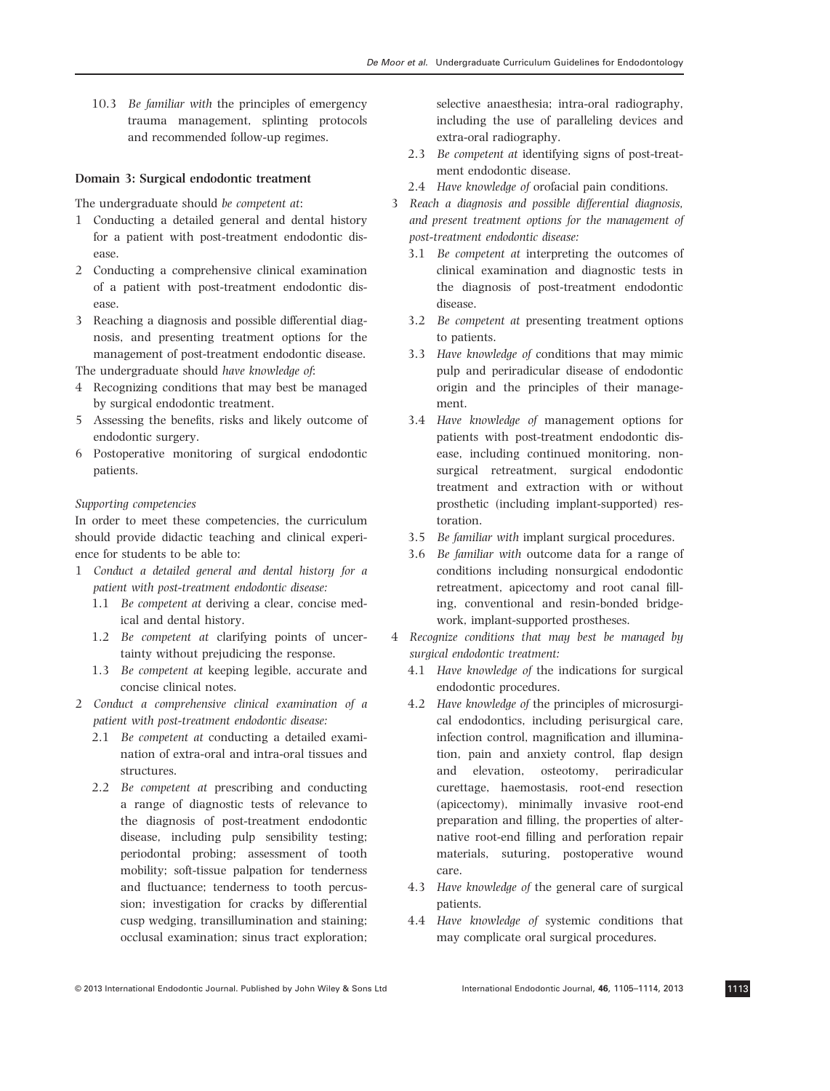10.3 Be familiar with the principles of emergency trauma management, splinting protocols and recommended follow-up regimes.

#### Domain 3: Surgical endodontic treatment

The undergraduate should be competent at:

- 1 Conducting a detailed general and dental history for a patient with post-treatment endodontic disease.
- 2 Conducting a comprehensive clinical examination of a patient with post-treatment endodontic disease.
- 3 Reaching a diagnosis and possible differential diagnosis, and presenting treatment options for the management of post-treatment endodontic disease. The undergraduate should have knowledge of:

- 4 Recognizing conditions that may best be managed by surgical endodontic treatment.
- 5 Assessing the benefits, risks and likely outcome of endodontic surgery.
- 6 Postoperative monitoring of surgical endodontic patients.

## Supporting competencies

In order to meet these competencies, the curriculum should provide didactic teaching and clinical experience for students to be able to:

- 1 Conduct a detailed general and dental history for a patient with post-treatment endodontic disease:
	- 1.1 Be competent at deriving a clear, concise medical and dental history.
	- 1.2 Be competent at clarifying points of uncertainty without prejudicing the response.
	- 1.3 Be competent at keeping legible, accurate and concise clinical notes.
- 2 Conduct a comprehensive clinical examination of a patient with post-treatment endodontic disease:
	- 2.1 Be competent at conducting a detailed examination of extra-oral and intra-oral tissues and structures.
	- 2.2 Be competent at prescribing and conducting a range of diagnostic tests of relevance to the diagnosis of post-treatment endodontic disease, including pulp sensibility testing; periodontal probing; assessment of tooth mobility; soft-tissue palpation for tenderness and fluctuance; tenderness to tooth percussion; investigation for cracks by differential cusp wedging, transillumination and staining; occlusal examination; sinus tract exploration;

selective anaesthesia; intra-oral radiography, including the use of paralleling devices and extra-oral radiography.

- 2.3 Be competent at identifying signs of post-treatment endodontic disease.
- 2.4 Have knowledge of orofacial pain conditions.
- 3 Reach a diagnosis and possible differential diagnosis, and present treatment options for the management of post-treatment endodontic disease:
	- 3.1 Be competent at interpreting the outcomes of clinical examination and diagnostic tests in the diagnosis of post-treatment endodontic disease.
	- 3.2 Be competent at presenting treatment options to patients.
	- 3.3 Have knowledge of conditions that may mimic pulp and periradicular disease of endodontic origin and the principles of their management.
	- 3.4 Have knowledge of management options for patients with post-treatment endodontic disease, including continued monitoring, nonsurgical retreatment, surgical endodontic treatment and extraction with or without prosthetic (including implant-supported) restoration.
	- 3.5 Be familiar with implant surgical procedures.
	- 3.6 Be familiar with outcome data for a range of conditions including nonsurgical endodontic retreatment, apicectomy and root canal filling, conventional and resin-bonded bridgework, implant-supported prostheses.
- 4 Recognize conditions that may best be managed by surgical endodontic treatment:
	- 4.1 Have knowledge of the indications for surgical endodontic procedures.
	- 4.2 Have knowledge of the principles of microsurgical endodontics, including perisurgical care, infection control, magnification and illumination, pain and anxiety control, flap design and elevation, osteotomy, periradicular curettage, haemostasis, root-end resection (apicectomy), minimally invasive root-end preparation and filling, the properties of alternative root-end filling and perforation repair materials, suturing, postoperative wound care.
	- 4.3 Have knowledge of the general care of surgical patients.
	- 4.4 Have knowledge of systemic conditions that may complicate oral surgical procedures.